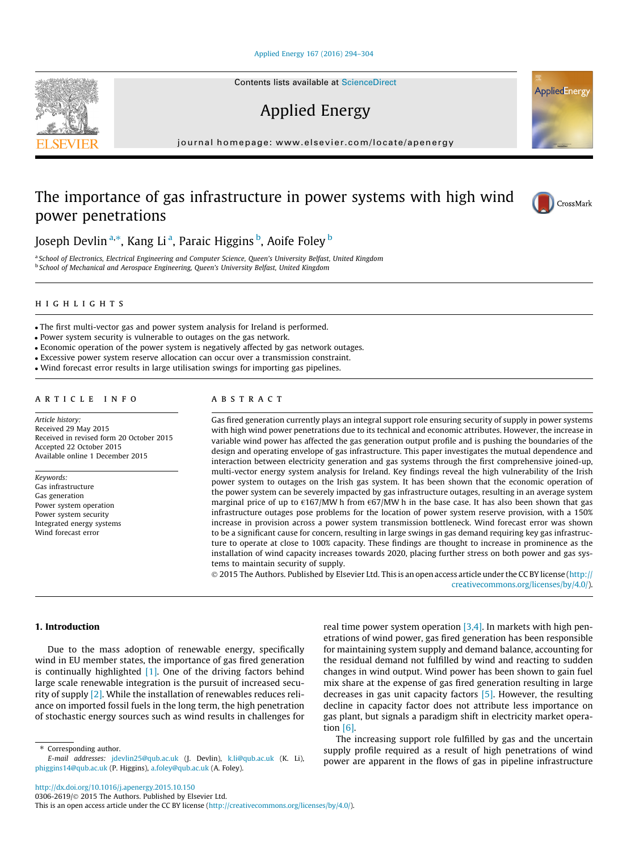## [Applied Energy 167 \(2016\) 294–304](http://dx.doi.org/10.1016/j.apenergy.2015.10.150)

# Applied Energy

journal homepage: [www.elsevier.com/locate/apenergy](http://www.elsevier.com/locate/apenergy)

# The importance of gas infrastructure in power systems with high wind power penetrations

Joseph Devlin <sup>a,</sup>\*, Kang Li <sup>a</sup>, Paraic Higgins <sup>b</sup>, Aoife Foley <sup>b</sup>

<sup>a</sup> School of Electronics, Electrical Engineering and Computer Science, Queen's University Belfast, United Kingdom <sup>b</sup> School of Mechanical and Aerospace Engineering, Queen's University Belfast, United Kingdom

# highlights and the second second second second second second second second second second second second second

The first multi-vector gas and power system analysis for Ireland is performed.

Power system security is vulnerable to outages on the gas network.

- Economic operation of the power system is negatively affected by gas network outages.
- Excessive power system reserve allocation can occur over a transmission constraint.
- Wind forecast error results in large utilisation swings for importing gas pipelines.

#### article info

Article history: Received 29 May 2015 Received in revised form 20 October 2015 Accepted 22 October 2015 Available online 1 December 2015

Keywords: Gas infrastructure Gas generation Power system operation Power system security Integrated energy systems Wind forecast error

## **ABSTRACT**

Gas fired generation currently plays an integral support role ensuring security of supply in power systems with high wind power penetrations due to its technical and economic attributes. However, the increase in variable wind power has affected the gas generation output profile and is pushing the boundaries of the design and operating envelope of gas infrastructure. This paper investigates the mutual dependence and interaction between electricity generation and gas systems through the first comprehensive joined-up, multi-vector energy system analysis for Ireland. Key findings reveal the high vulnerability of the Irish power system to outages on the Irish gas system. It has been shown that the economic operation of the power system can be severely impacted by gas infrastructure outages, resulting in an average system marginal price of up to  $\epsilon$ 167/MW h from  $\epsilon$ 67/MW h in the base case. It has also been shown that gas infrastructure outages pose problems for the location of power system reserve provision, with a 150% increase in provision across a power system transmission bottleneck. Wind forecast error was shown to be a significant cause for concern, resulting in large swings in gas demand requiring key gas infrastructure to operate at close to 100% capacity. These findings are thought to increase in prominence as the installation of wind capacity increases towards 2020, placing further stress on both power and gas systems to maintain security of supply.

 2015 The Authors. Published by Elsevier Ltd. This is an open access article under the CC BY license ([http://](http://creativecommons.org/licenses/by/4.0/) [creativecommons.org/licenses/by/4.0/](http://creativecommons.org/licenses/by/4.0/)).

## 1. Introduction

Due to the mass adoption of renewable energy, specifically wind in EU member states, the importance of gas fired generation is continually highlighted  $[1]$ . One of the driving factors behind large scale renewable integration is the pursuit of increased security of supply [2]. While the installation of renewables reduces reliance on imported fossil fuels in the long term, the high penetration of stochastic energy sources such as wind results in challenges for

⇑ Corresponding author.

real time power system operation  $[3,4]$ . In markets with high penetrations of wind power, gas fired generation has been responsible for maintaining system supply and demand balance, accounting for the residual demand not fulfilled by wind and reacting to sudden changes in wind output. Wind power has been shown to gain fuel mix share at the expense of gas fired generation resulting in large decreases in gas unit capacity factors [5]. However, the resulting decline in capacity factor does not attribute less importance on gas plant, but signals a paradigm shift in electricity market operation  $[6]$ .

The increasing support role fulfilled by gas and the uncertain supply profile required as a result of high penetrations of wind power are apparent in the flows of gas in pipeline infrastructure







E-mail addresses: [jdevlin25@qub.ac.uk](mailto:jdevlin25@qub.ac.uk) (J. Devlin), [k.li@qub.ac.uk](mailto:k.li@qub.ac.uk) (K. Li), [phiggins14@qub.ac.uk](mailto:phiggins14@qub.ac.uk) (P. Higgins), [a.foley@qub.ac.uk](mailto:a.foley@qub.ac.uk) (A. Foley).

This is an open access article under the CC BY license ([http://creativecommons.org/licenses/by/4.0/\)](http://creativecommons.org/licenses/by/4.0/).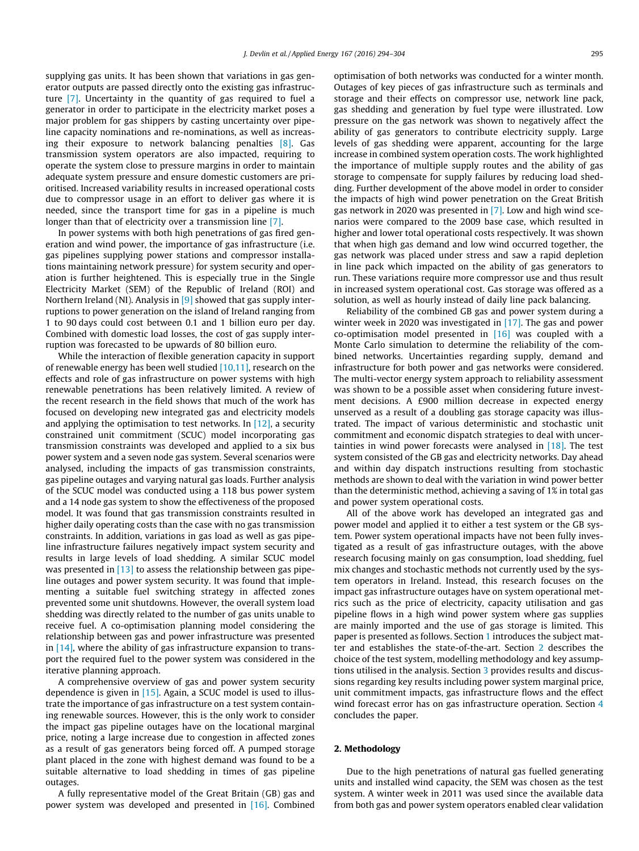supplying gas units. It has been shown that variations in gas generator outputs are passed directly onto the existing gas infrastructure [7]. Uncertainty in the quantity of gas required to fuel a generator in order to participate in the electricity market poses a major problem for gas shippers by casting uncertainty over pipeline capacity nominations and re-nominations, as well as increasing their exposure to network balancing penalties [8]. Gas transmission system operators are also impacted, requiring to operate the system close to pressure margins in order to maintain adequate system pressure and ensure domestic customers are prioritised. Increased variability results in increased operational costs due to compressor usage in an effort to deliver gas where it is needed, since the transport time for gas in a pipeline is much longer than that of electricity over a transmission line [7].

In power systems with both high penetrations of gas fired generation and wind power, the importance of gas infrastructure (i.e. gas pipelines supplying power stations and compressor installations maintaining network pressure) for system security and operation is further heightened. This is especially true in the Single Electricity Market (SEM) of the Republic of Ireland (ROI) and Northern Ireland (NI). Analysis in [9] showed that gas supply interruptions to power generation on the island of Ireland ranging from 1 to 90 days could cost between 0.1 and 1 billion euro per day. Combined with domestic load losses, the cost of gas supply interruption was forecasted to be upwards of 80 billion euro.

While the interaction of flexible generation capacity in support of renewable energy has been well studied  $[10,11]$ , research on the effects and role of gas infrastructure on power systems with high renewable penetrations has been relatively limited. A review of the recent research in the field shows that much of the work has focused on developing new integrated gas and electricity models and applying the optimisation to test networks. In  $[12]$ , a security constrained unit commitment (SCUC) model incorporating gas transmission constraints was developed and applied to a six bus power system and a seven node gas system. Several scenarios were analysed, including the impacts of gas transmission constraints, gas pipeline outages and varying natural gas loads. Further analysis of the SCUC model was conducted using a 118 bus power system and a 14 node gas system to show the effectiveness of the proposed model. It was found that gas transmission constraints resulted in higher daily operating costs than the case with no gas transmission constraints. In addition, variations in gas load as well as gas pipeline infrastructure failures negatively impact system security and results in large levels of load shedding. A similar SCUC model was presented in  $[13]$  to assess the relationship between gas pipeline outages and power system security. It was found that implementing a suitable fuel switching strategy in affected zones prevented some unit shutdowns. However, the overall system load shedding was directly related to the number of gas units unable to receive fuel. A co-optimisation planning model considering the relationship between gas and power infrastructure was presented in [14], where the ability of gas infrastructure expansion to transport the required fuel to the power system was considered in the iterative planning approach.

A comprehensive overview of gas and power system security dependence is given in [15]. Again, a SCUC model is used to illustrate the importance of gas infrastructure on a test system containing renewable sources. However, this is the only work to consider the impact gas pipeline outages have on the locational marginal price, noting a large increase due to congestion in affected zones as a result of gas generators being forced off. A pumped storage plant placed in the zone with highest demand was found to be a suitable alternative to load shedding in times of gas pipeline outages.

A fully representative model of the Great Britain (GB) gas and power system was developed and presented in [16]. Combined optimisation of both networks was conducted for a winter month. Outages of key pieces of gas infrastructure such as terminals and storage and their effects on compressor use, network line pack, gas shedding and generation by fuel type were illustrated. Low pressure on the gas network was shown to negatively affect the ability of gas generators to contribute electricity supply. Large levels of gas shedding were apparent, accounting for the large increase in combined system operation costs. The work highlighted the importance of multiple supply routes and the ability of gas storage to compensate for supply failures by reducing load shedding. Further development of the above model in order to consider the impacts of high wind power penetration on the Great British gas network in 2020 was presented in [7]. Low and high wind scenarios were compared to the 2009 base case, which resulted in higher and lower total operational costs respectively. It was shown that when high gas demand and low wind occurred together, the gas network was placed under stress and saw a rapid depletion in line pack which impacted on the ability of gas generators to run. These variations require more compressor use and thus result in increased system operational cost. Gas storage was offered as a solution, as well as hourly instead of daily line pack balancing.

Reliability of the combined GB gas and power system during a winter week in 2020 was investigated in [17]. The gas and power co-optimisation model presented in [16] was coupled with a Monte Carlo simulation to determine the reliability of the combined networks. Uncertainties regarding supply, demand and infrastructure for both power and gas networks were considered. The multi-vector energy system approach to reliability assessment was shown to be a possible asset when considering future investment decisions. A £900 million decrease in expected energy unserved as a result of a doubling gas storage capacity was illustrated. The impact of various deterministic and stochastic unit commitment and economic dispatch strategies to deal with uncertainties in wind power forecasts were analysed in  $[18]$ . The test system consisted of the GB gas and electricity networks. Day ahead and within day dispatch instructions resulting from stochastic methods are shown to deal with the variation in wind power better than the deterministic method, achieving a saving of 1% in total gas and power system operational costs.

All of the above work has developed an integrated gas and power model and applied it to either a test system or the GB system. Power system operational impacts have not been fully investigated as a result of gas infrastructure outages, with the above research focusing mainly on gas consumption, load shedding, fuel mix changes and stochastic methods not currently used by the system operators in Ireland. Instead, this research focuses on the impact gas infrastructure outages have on system operational metrics such as the price of electricity, capacity utilisation and gas pipeline flows in a high wind power system where gas supplies are mainly imported and the use of gas storage is limited. This paper is presented as follows. Section 1 introduces the subject matter and establishes the state-of-the-art. Section 2 describes the choice of the test system, modelling methodology and key assumptions utilised in the analysis. Section 3 provides results and discussions regarding key results including power system marginal price, unit commitment impacts, gas infrastructure flows and the effect wind forecast error has on gas infrastructure operation. Section 4 concludes the paper.

### 2. Methodology

Due to the high penetrations of natural gas fuelled generating units and installed wind capacity, the SEM was chosen as the test system. A winter week in 2011 was used since the available data from both gas and power system operators enabled clear validation